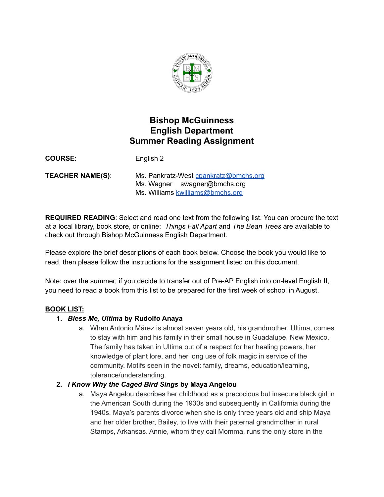

# **Bishop McGuinness English Department Summer Reading Assignment**

**COURSE**: English 2

**TEACHER NAME(S)**: Ms. Pankratz-West [cpankratz@bmchs.org](mailto:cpankratz@bmchs.org) Ms. Wagner swagner@bmchs.org Ms. Williams [kwilliams@bmchs.org](mailto:kwilliams@bmchs.org)

**REQUIRED READING**: Select and read one text from the following list. You can procure the text at a local library, book store, or online; *Things Fall Apart* and *The Bean Trees* are available to check out through Bishop McGuinness English Department.

Please explore the brief descriptions of each book below. Choose the book you would like to read, then please follow the instructions for the assignment listed on this document.

Note: over the summer, if you decide to transfer out of Pre-AP English into on-level English II, you need to read a book from this list to be prepared for the first week of school in August.

### **BOOK LIST:**

#### **1.** *Bless Me, Ultima* **by Rudolfo Anaya**

a. When Antonio Márez is almost seven years old, his grandmother, Ultima, comes to stay with him and his family in their small house in Guadalupe, New Mexico. The family has taken in Ultima out of a respect for her healing powers, her knowledge of plant lore, and her long use of folk magic in service of the community. Motifs seen in the novel: family, dreams, education/learning, tolerance/understanding.

### **2.** *I Know Why the Caged Bird Sings* **by Maya Angelou**

a. Maya Angelou describes her childhood as a precocious but insecure black girl in the American South during the 1930s and subsequently in California during the 1940s. Maya's parents divorce when she is only three years old and ship Maya and her older brother, Bailey, to live with their paternal grandmother in rural Stamps, Arkansas. Annie, whom they call Momma, runs the only store in the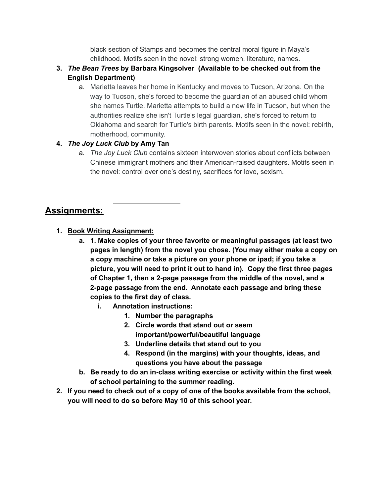black section of Stamps and becomes the central moral figure in Maya's childhood. Motifs seen in the novel: strong women, literature, names.

- **3.** *The Bean Trees* **by Barbara Kingsolver (Available to be checked out from the English Department)**
	- a. Marietta leaves her home in Kentucky and moves to Tucson, Arizona. On the way to Tucson, she's forced to become the guardian of an abused child whom she names Turtle. Marietta attempts to build a new life in Tucson, but when the authorities realize she isn't Turtle's legal guardian, she's forced to return to Oklahoma and search for Turtle's birth parents. Motifs seen in the novel: rebirth, motherhood, community.

### **4.** *The Joy Luck Club* **by Amy Tan**

a. *The Joy Luck Club* contains sixteen interwoven stories about conflicts between Chinese immigrant mothers and their American-raised daughters. Motifs seen in the novel: control over one's destiny, sacrifices for love, sexism.

# **Assignments:**

- **1. Book Writing Assignment:**
	- **a. 1. Make copies of your three favorite or meaningful passages (at least two pages in length) from the novel you chose. (You may either make a copy on a copy machine or take a picture on your phone or ipad; if you take a picture, you will need to print it out to hand in). Copy the first three pages of Chapter 1, then a 2-page passage from the middle of the novel, and a 2-page passage from the end. Annotate each passage and bring these copies to the first day of class.**
		- **i. Annotation instructions:**
			- **1. Number the paragraphs**
			- **2. Circle words that stand out or seem important/powerful/beautiful language**
			- **3. Underline details that stand out to you**
			- **4. Respond (in the margins) with your thoughts, ideas, and questions you have about the passage**
	- **b. Be ready to do an in-class writing exercise or activity within the first week of school pertaining to the summer reading.**
- **2. If you need to check out of a copy of one of the books available from the school, you will need to do so before May 10 of this school year.**